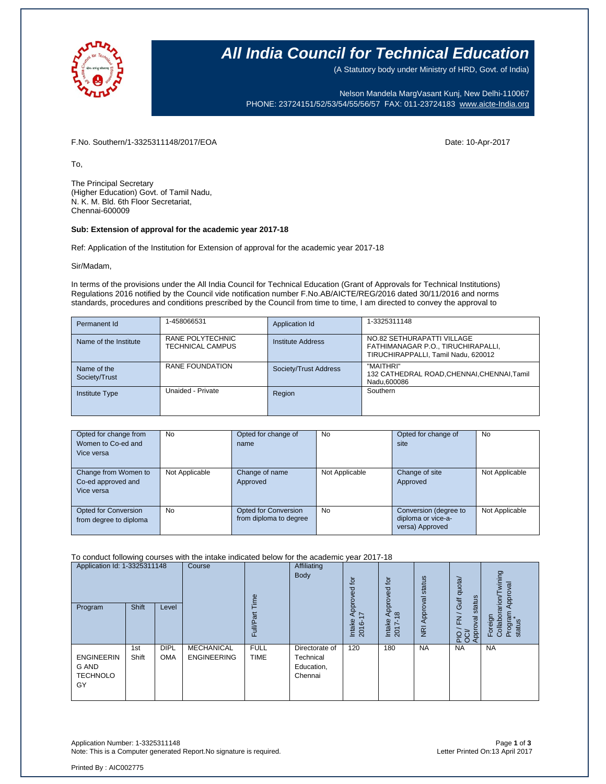

## **All India Council for Technical Education**

(A Statutory body under Ministry of HRD, Govt. of India)

Nelson Mandela MargVasant Kunj, New Delhi-110067 PHONE: 23724151/52/53/54/55/56/57 FAX: 011-23724183 [www.aicte-India.org](http://www.aicte-india.org/)

F.No. Southern/1-3325311148/2017/EOA Date: 10-Apr-2017

To,

The Principal Secretary (Higher Education) Govt. of Tamil Nadu, N. K. M. Bld. 6th Floor Secretariat, Chennai-600009

### **Sub: Extension of approval for the academic year 2017-18**

Ref: Application of the Institution for Extension of approval for the academic year 2017-18

Sir/Madam,

In terms of the provisions under the All India Council for Technical Education (Grant of Approvals for Technical Institutions) Regulations 2016 notified by the Council vide notification number F.No.AB/AICTE/REG/2016 dated 30/11/2016 and norms standards, procedures and conditions prescribed by the Council from time to time, I am directed to convey the approval to

| Permanent Id                 | 1-458066531                          | Application Id        | 1-3325311148                                                                                            |  |  |
|------------------------------|--------------------------------------|-----------------------|---------------------------------------------------------------------------------------------------------|--|--|
| Name of the Institute        | RANE POLYTECHNIC<br>TECHNICAL CAMPUS | Institute Address     | NO.82 SETHURAPATTI VILLAGE<br>FATHIMANAGAR P.O., TIRUCHIRAPALLI,<br>TIRUCHIRAPPALLI, Tamil Nadu, 620012 |  |  |
| Name of the<br>Society/Trust | RANE FOUNDATION                      | Society/Trust Address | "MAITHRI"<br>132 CATHEDRAL ROAD, CHENNAI, CHENNAI, Tamil<br>Nadu.600086                                 |  |  |
| <b>Institute Type</b>        | Unaided - Private                    | Region                | Southern                                                                                                |  |  |

| Opted for change from<br>Women to Co-ed and<br>Vice versa | No             | Opted for change of<br>name                           | <b>No</b>      | Opted for change of<br>site                                    | <b>No</b>      |
|-----------------------------------------------------------|----------------|-------------------------------------------------------|----------------|----------------------------------------------------------------|----------------|
| Change from Women to<br>Co-ed approved and<br>Vice versa  | Not Applicable | Change of name<br>Approved                            | Not Applicable | Change of site<br>Approved                                     | Not Applicable |
| Opted for Conversion<br>from degree to diploma            | No             | <b>Opted for Conversion</b><br>from diploma to degree | <b>No</b>      | Conversion (degree to<br>diploma or vice-a-<br>versa) Approved | Not Applicable |

#### To conduct following courses with the intake indicated below for the academic year 2017-18

| Application Id: 1-3325311148<br>Program             | <b>Shift</b> | Level                     | Course                                  | ime<br>Full/Pa             | Affiliating<br>Body                                  | for<br>್ಲಾ<br>joud<br>$\overline{\phantom{0}}$<br>Intake<br>Ó<br>201 | tō<br>공<br>ð<br>႙<br>$\infty$<br>Intake<br>2017- | status<br>Approval<br>$\overline{g}$ | quota/<br>status<br>Gulf <sub>o</sub><br>$\overline{\phantom{0}}$<br>$\overline{E}$<br>PIO / FN<br>OCI/<br>Approval | wining<br>Approval<br>rarion/T<br>Program<br>status<br>Foreign<br>Collabor |
|-----------------------------------------------------|--------------|---------------------------|-----------------------------------------|----------------------------|------------------------------------------------------|----------------------------------------------------------------------|--------------------------------------------------|--------------------------------------|---------------------------------------------------------------------------------------------------------------------|----------------------------------------------------------------------------|
| <b>ENGINEERIN</b><br>G AND<br><b>TECHNOLO</b><br>GY | 1st<br>Shift | <b>DIPL</b><br><b>OMA</b> | <b>MECHANICAL</b><br><b>ENGINEERING</b> | <b>FULL</b><br><b>TIME</b> | Directorate of<br>Technical<br>Education,<br>Chennai | 120                                                                  | 180                                              | <b>NA</b>                            | <b>NA</b>                                                                                                           | <b>NA</b>                                                                  |

Application Number: 1-3325311148 Page **1** of **3** Note: This is a Computer generated Report.No signature is required.

Printed By : AIC002775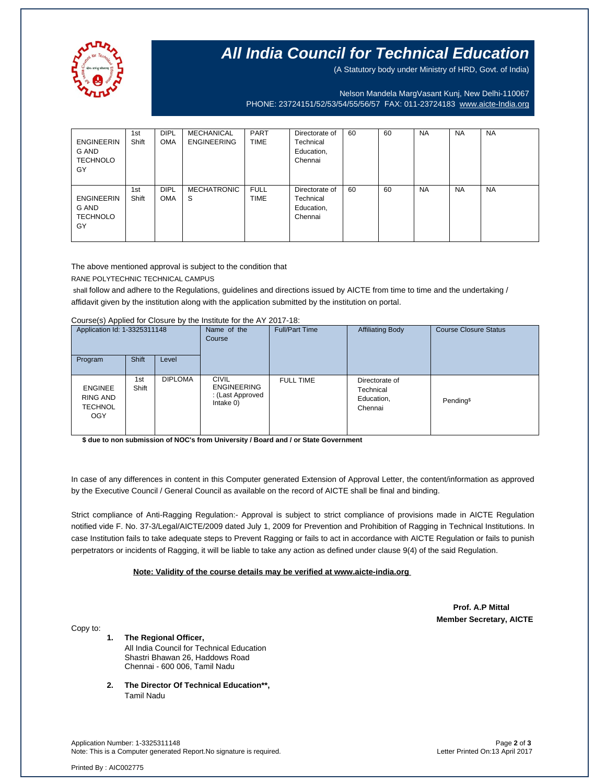

# **All India Council for Technical Education**

(A Statutory body under Ministry of HRD, Govt. of India)

Nelson Mandela MargVasant Kunj, New Delhi-110067

PHONE: 23724151/52/53/54/55/56/57 FAX: 011-23724183 [www.aicte-India.org](http://www.aicte-india.org/)

| <b>ENGINEERIN</b><br>G AND<br><b>TECHNOLO</b><br>GY | 1st<br>Shift | <b>DIPL</b><br><b>OMA</b> | MECHANICAL<br><b>ENGINEERING</b> | PART<br><b>TIME</b>        | Directorate of<br>Technical<br>Education,<br>Chennai | 60 | 60 | <b>NA</b> | <b>NA</b> | <b>NA</b> |
|-----------------------------------------------------|--------------|---------------------------|----------------------------------|----------------------------|------------------------------------------------------|----|----|-----------|-----------|-----------|
| <b>ENGINEERIN</b><br>G AND<br><b>TECHNOLO</b><br>GY | 1st<br>Shift | <b>DIPL</b><br><b>OMA</b> | <b>MECHATRONIC</b><br>S          | <b>FULL</b><br><b>TIME</b> | Directorate of<br>Technical<br>Education,<br>Chennai | 60 | 60 | <b>NA</b> | <b>NA</b> | <b>NA</b> |

The above mentioned approval is subject to the condition that

RANE POLYTECHNIC TECHNICAL CAMPUS

shall follow and adhere to the Regulations, guidelines and directions issued by AICTE from time to time and the undertaking / affidavit given by the institution along with the application submitted by the institution on portal.

Course(s) Applied for Closure by the Institute for the AY 2017-18:

| Application Id: 1-3325311148<br><b>Shift</b><br>Level<br>Program |                                                            | Name of the<br>Course | <b>Full/Part Time</b> | <b>Affiliating Body</b>                                                | <b>Course Closure Status</b> |                                                      |                       |
|------------------------------------------------------------------|------------------------------------------------------------|-----------------------|-----------------------|------------------------------------------------------------------------|------------------------------|------------------------------------------------------|-----------------------|
|                                                                  | <b>ENGINEE</b><br>RING AND<br><b>TECHNOL</b><br><b>OGY</b> | 1st<br>Shift          | <b>DIPLOMA</b>        | <b>CIVIL</b><br><b>ENGINEERING</b><br>: (Last Approved<br>Intake $0$ ) | <b>FULL TIME</b>             | Directorate of<br>Technical<br>Education,<br>Chennai | Pending <sup>\$</sup> |

**\$ due to non submission of NOC's from University / Board and / or State Government**

In case of any differences in content in this Computer generated Extension of Approval Letter, the content/information as approved by the Executive Council / General Council as available on the record of AICTE shall be final and binding.

Strict compliance of Anti-Ragging Regulation:- Approval is subject to strict compliance of provisions made in AICTE Regulation notified vide F. No. 37-3/Legal/AICTE/2009 dated July 1, 2009 for Prevention and Prohibition of Ragging in Technical Institutions. In case Institution fails to take adequate steps to Prevent Ragging or fails to act in accordance with AICTE Regulation or fails to punish perpetrators or incidents of Ragging, it will be liable to take any action as defined under clause 9(4) of the said Regulation.

### **Note: Validity of the course details may be verified at www.aicte-india.org**

 **Prof. A.P Mittal Member Secretary, AICTE**

Copy to:

- **1. The Regional Officer,** All India Council for Technical Education Shastri Bhawan 26, Haddows Road Chennai - 600 006, Tamil Nadu
- **2. The Director Of Technical Education\*\*,** Tamil Nadu

Application Number: 1-3325311148 Page **2** of **3** Note: This is a Computer generated Report.No signature is required.